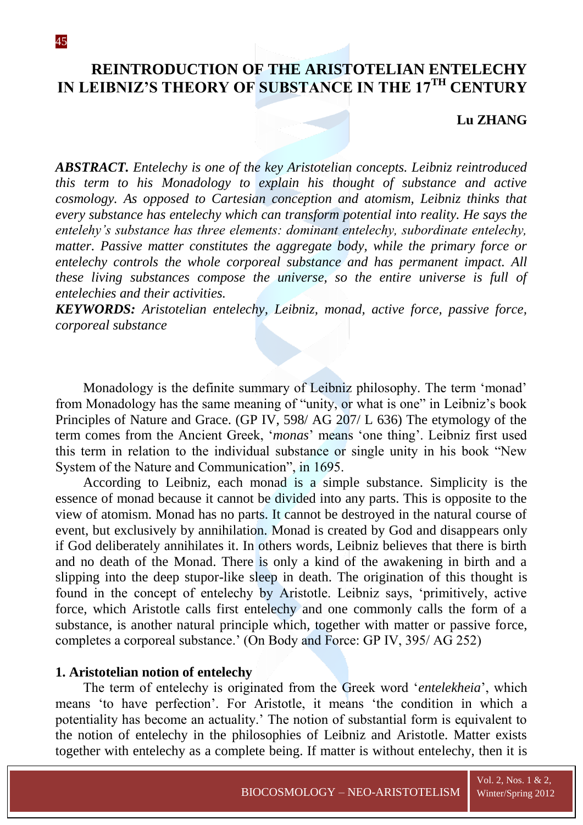# **REINTRODUCTION OF THE ARISTOTELIAN ENTELECHY IN LEIBNIZ'S THEORY OF SUBSTANCE IN THE 17TH CENTURY**

## **Lu ZHANG**

*ABSTRACT. Entelechy is one of the key Aristotelian concepts. Leibniz reintroduced this term to his Monadology to explain his thought of substance and active cosmology. As opposed to Cartesian conception and atomism, Leibniz thinks that every substance has entelechy which can transform potential into reality. He says the entelehy's substance has three elements: dominant entelechy, subordinate entelechy, matter. Passive matter constitutes the aggregate body, while the primary force or entelechy controls the whole corporeal substance and has permanent impact. All these living substances compose the universe, so the entire universe is full of entelechies and their activities.* 

*KEYWORDS: Aristotelian entelechy, Leibniz, monad, active force, passive force, corporeal substance*

Monadology is the definite summary of Leibniz philosophy. The term "monad" from Monadology has the same meaning of "unity, or what is one" in Leibniz"s book Principles of Nature and Grace. (GP IV, 598/ AG 207/ L 636) The etymology of the term comes from the Ancient Greek, "*monas*" means "one thing". Leibniz first used this term in relation to the individual substance or single unity in his book "New System of the Nature and Communication", in 1695.

According to Leibniz, each monad is a simple substance. Simplicity is the essence of monad because it cannot be divided into any parts. This is opposite to the view of atomism. Monad has no parts. It cannot be destroyed in the natural course of event, but exclusively by annihilation. Monad is created by God and disappears only if God deliberately annihilates it. In others words, Leibniz believes that there is birth and no death of the Monad. There is only a kind of the awakening in birth and a slipping into the deep stupor-like sleep in death. The origination of this thought is found in the concept of entelechy by Aristotle. Leibniz says, "primitively, active force, which Aristotle calls first entelechy and one commonly calls the form of a substance, is another natural principle which, together with matter or passive force, completes a corporeal substance." (On Body and Force: GP IV, 395/ AG 252)

#### **1. Aristotelian notion of entelechy**

The term of entelechy is originated from the Greek word "*entelekheia*", which means "to have perfection". For Aristotle, it means "the condition in which a potentiality has become an actuality." The notion of substantial form is equivalent to the notion of entelechy in the philosophies of Leibniz and Aristotle. Matter exists together with entelechy as a complete being. If matter is without entelechy, then it is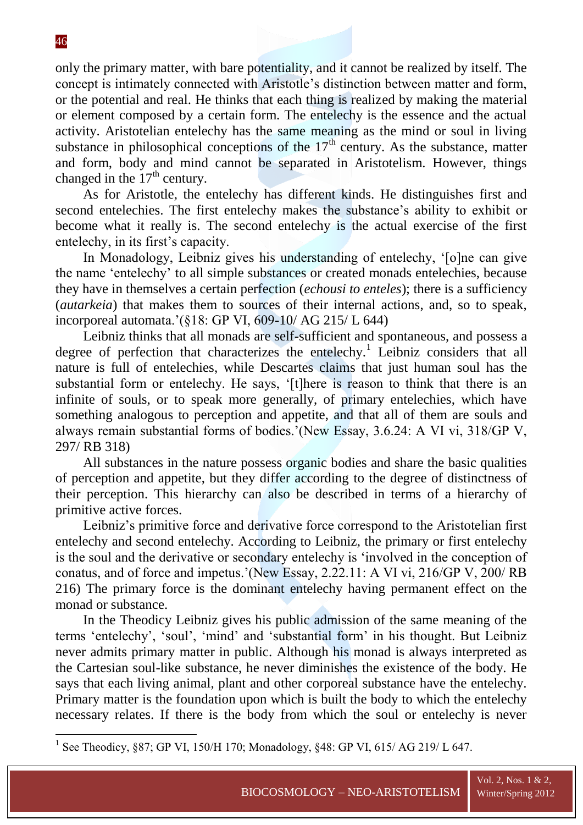only the primary matter, with bare potentiality, and it cannot be realized by itself. The concept is intimately connected with Aristotle"s distinction between matter and form, or the potential and real. He thinks that each thing is realized by making the material or element composed by a certain form. The entelechy is the essence and the actual activity. Aristotelian entelechy has the same meaning as the mind or soul in living substance in philosophical conceptions of the  $17<sup>th</sup>$  century. As the substance, matter and form, body and mind cannot be separated in Aristotelism. However, things changed in the  $17<sup>th</sup>$  century.

As for Aristotle, the entelechy has different kinds. He distinguishes first and second entelechies. The first entelechy makes the substance's ability to exhibit or become what it really is. The second entelechy is the actual exercise of the first entelechy, in its first's capacity.

In Monadology, Leibniz gives his understanding of entelechy, "[o]ne can give the name "entelechy" to all simple substances or created monads entelechies, because they have in themselves a certain perfection (*echousi to enteles*); there is a sufficiency (*autarkeia*) that makes them to sources of their internal actions, and, so to speak, incorporeal automata."(§18: GP VI, 609-10/ AG 215/ L 644)

Leibniz thinks that all monads are self-sufficient and spontaneous, and possess a degree of perfection that characterizes the entelechy.<sup>1</sup> Leibniz considers that all nature is full of entelechies, while Descartes claims that just human soul has the substantial form or entelechy. He says, "[t]here is reason to think that there is an infinite of souls, or to speak more generally, of primary entelechies, which have something analogous to perception and appetite, and that all of them are souls and always remain substantial forms of bodies."(New Essay, 3.6.24: A VI vi, 318/GP V, 297/ RB 318)

All substances in the nature possess organic bodies and share the basic qualities of perception and appetite, but they differ according to the degree of distinctness of their perception. This hierarchy can also be described in terms of a hierarchy of primitive active forces.

Leibniz"s primitive force and derivative force correspond to the Aristotelian first entelechy and second entelechy. According to Leibniz, the primary or first entelechy is the soul and the derivative or secondary entelechy is "involved in the conception of conatus, and of force and impetus."(New Essay, 2.22.11: A VI vi, 216/GP V, 200/ RB 216) The primary force is the dominant entelechy having permanent effect on the monad or substance.

In the Theodicy Leibniz gives his public admission of the same meaning of the terms "entelechy", "soul", "mind" and "substantial form" in his thought. But Leibniz never admits primary matter in public. Although his monad is always interpreted as the Cartesian soul-like substance, he never diminishes the existence of the body. He says that each living animal, plant and other corporeal substance have the entelechy. Primary matter is the foundation upon which is built the body to which the entelechy necessary relates. If there is the body from which the soul or entelechy is never

**.** 

Vol. 2, Nos. 1 & 2,

<sup>&</sup>lt;sup>1</sup> See Theodicy, §87; GP VI, 150/H 170; Monadology, §48: GP VI, 615/ AG 219/ L 647.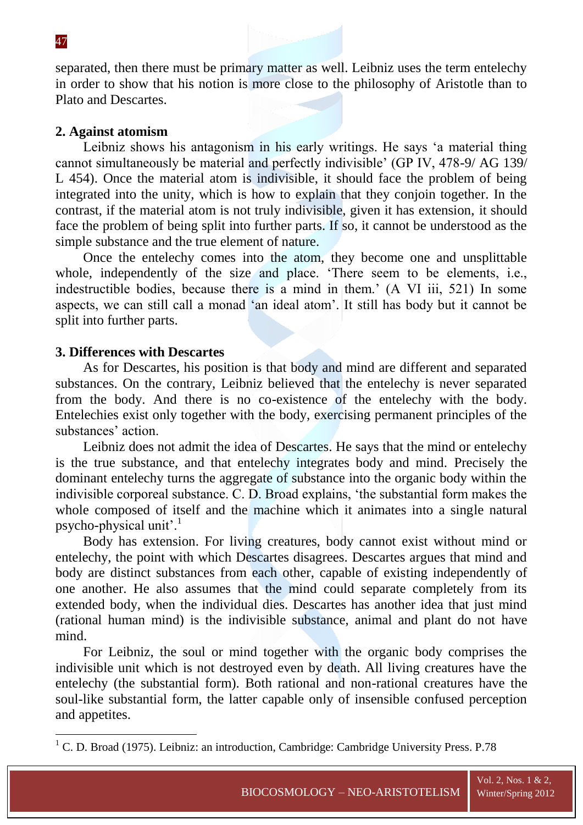separated, then there must be primary matter as well. Leibniz uses the term entelechy in order to show that his notion is more close to the philosophy of Aristotle than to Plato and Descartes.

#### **2. Against atomism**

Leibniz shows his antagonism in his early writings. He says "a material thing cannot simultaneously be material and perfectly indivisible" (GP IV, 478-9/ AG 139/ L 454). Once the material atom is indivisible, it should face the problem of being integrated into the unity, which is how to explain that they conjoin together. In the contrast, if the material atom is not truly indivisible, given it has extension, it should face the problem of being split into further parts. If so, it cannot be understood as the simple substance and the true element of nature.

Once the entelechy comes into the atom, they become one and unsplittable whole, independently of the size and place. There seem to be elements, i.e., indestructible bodies, because there is a mind in them." (A VI iii, 521) In some aspects, we can still call a monad "an ideal atom". It still has body but it cannot be split into further parts.

#### **3. Differences with Descartes**

As for Descartes, his position is that body and mind are different and separated substances. On the contrary, Leibniz believed that the entelechy is never separated from the body. And there is no co-existence of the entelechy with the body. Entelechies exist only together with the body, exercising permanent principles of the substances' action.

Leibniz does not admit the idea of Descartes. He says that the mind or entelechy is the true substance, and that entelechy integrates body and mind. Precisely the dominant entelechy turns the aggregate of substance into the organic body within the indivisible corporeal substance. C. D. Broad explains, "the substantial form makes the whole composed of itself and the machine which it animates into a single natural psycho-physical unit'. $\frac{1}{1}$ 

Body has extension. For living creatures, body cannot exist without mind or entelechy, the point with which Descartes disagrees. Descartes argues that mind and body are distinct substances from each other, capable of existing independently of one another. He also assumes that the mind could separate completely from its extended body, when the individual dies. Descartes has another idea that just mind (rational human mind) is the indivisible substance, animal and plant do not have mind.

For Leibniz, the soul or mind together with the organic body comprises the indivisible unit which is not destroyed even by death. All living creatures have the entelechy (the substantial form). Both rational and non-rational creatures have the soul-like substantial form, the latter capable only of insensible confused perception and appetites.

## 47

**.** 

<sup>&</sup>lt;sup>1</sup> C. D. Broad (1975). Leibniz: an introduction, Cambridge: Cambridge University Press. P.78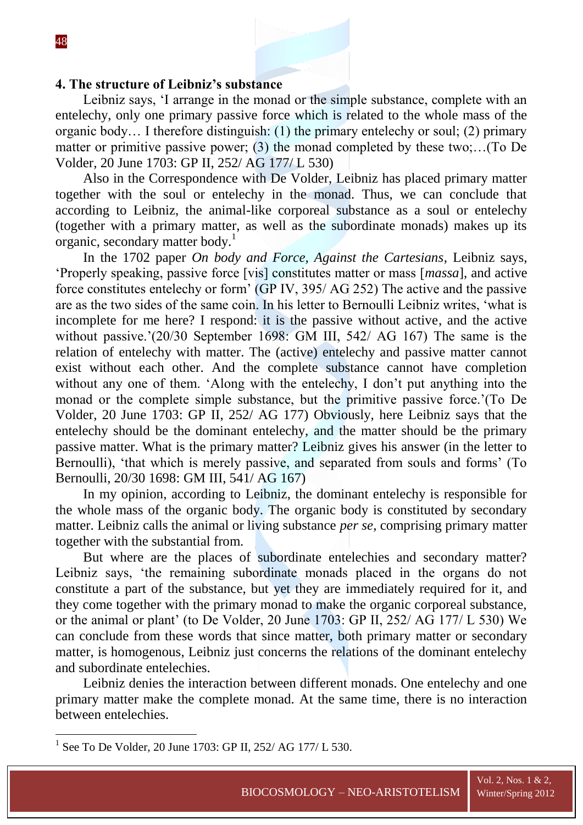**.** 

## **4. The structure of Leibniz's substance**

Leibniz says, "I arrange in the monad or the simple substance, complete with an entelechy, only one primary passive force which is related to the whole mass of the organic body… I therefore distinguish: (1) the primary entelechy or soul; (2) primary matter or primitive passive power; (3) the monad completed by these two;…(To De Volder, 20 June 1703: GP II, 252/ AG 177/ L 530)

Also in the Correspondence with De Volder, Leibniz has placed primary matter together with the soul or entelechy in the monad. Thus, we can conclude that according to Leibniz, the animal-like corporeal substance as a soul or entelechy (together with a primary matter, as well as the subordinate monads) makes up its organic, secondary matter body.<sup>1</sup>

In the 1702 paper *On body and Force, Against the Cartesians*, Leibniz says, "Properly speaking, passive force [vis] constitutes matter or mass [*massa*], and active force constitutes entelechy or form" (GP IV, 395/ AG 252) The active and the passive are as the two sides of the same coin. In his letter to Bernoulli Leibniz writes, "what is incomplete for me here? I respond: it is the passive without active, and the active without passive.'(20/30 September 1698: GM III, 542/ AG 167) The same is the relation of entelechy with matter. The (active) entelechy and passive matter cannot exist without each other. And the complete substance cannot have completion without any one of them. 'Along with the entelechy, I don't put anything into the monad or the complete simple substance, but the primitive passive force. To De Volder, 20 June 1703: GP II, 252/ AG 177) Obviously, here Leibniz says that the entelechy should be the dominant entelechy, and the matter should be the primary passive matter. What is the primary matter? Leibniz gives his answer (in the letter to Bernoulli), 'that which is merely passive, and separated from souls and forms' (To Bernoulli, 20/30 1698: GM III, 541/ AG 167)

In my opinion, according to Leibniz, the dominant entelechy is responsible for the whole mass of the organic body. The organic body is constituted by secondary matter. Leibniz calls the animal or living substance *per se*, comprising primary matter together with the substantial from.

But where are the places of subordinate entelechies and secondary matter? Leibniz says, "the remaining subordinate monads placed in the organs do not constitute a part of the substance, but yet they are immediately required for it, and they come together with the primary monad to make the organic corporeal substance, or the animal or plant" (to De Volder, 20 June 1703: GP II, 252/ AG 177/ L 530) We can conclude from these words that since matter, both primary matter or secondary matter, is homogenous, Leibniz just concerns the relations of the dominant entelechy and subordinate entelechies.

Leibniz denies the interaction between different monads. One entelechy and one primary matter make the complete monad. At the same time, there is no interaction between entelechies.

Vol. 2, Nos. 1 & 2,

<sup>&</sup>lt;sup>1</sup> See To De Volder, 20 June 1703: GP II, 252/ AG 177/ L 530.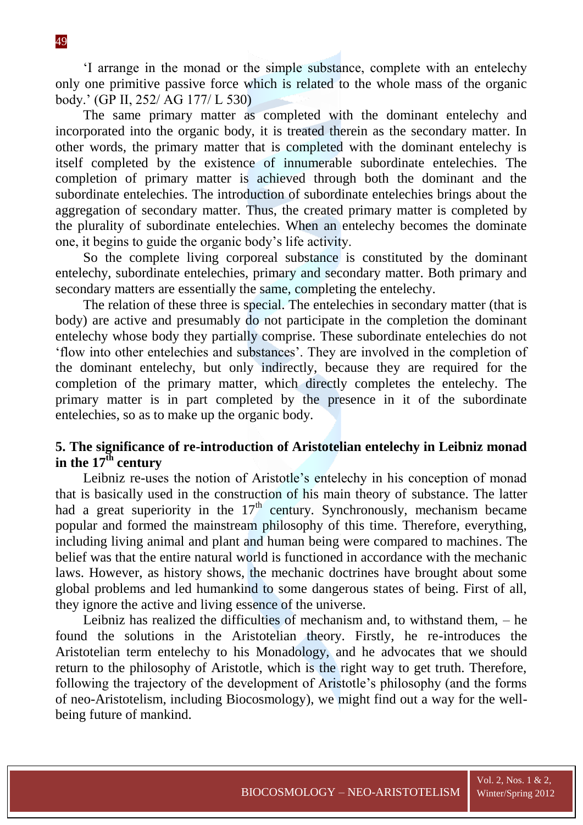"I arrange in the monad or the simple substance, complete with an entelechy only one primitive passive force which is related to the whole mass of the organic body." (GP II, 252/ AG 177/ L 530)

The same primary matter as completed with the dominant entelechy and incorporated into the organic body, it is treated therein as the secondary matter. In other words, the primary matter that is completed with the dominant entelechy is itself completed by the existence of innumerable subordinate entelechies. The completion of primary matter is achieved through both the dominant and the subordinate entelechies. The introduction of subordinate entelechies brings about the aggregation of secondary matter. Thus, the created primary matter is completed by the plurality of subordinate entelechies. When an entelechy becomes the dominate one, it begins to guide the organic body"s life activity.

So the complete living corporeal substance is constituted by the dominant entelechy, subordinate entelechies, primary and secondary matter. Both primary and secondary matters are essentially the same, completing the entelechy.

The relation of these three is special. The entelechies in secondary matter (that is body) are active and presumably do not participate in the completion the dominant entelechy whose body they partially comprise. These subordinate entelechies do not "flow into other entelechies and substances". They are involved in the completion of the dominant entelechy, but only indirectly, because they are required for the completion of the primary matter, which directly completes the entelechy. The primary matter is in part completed by the presence in it of the subordinate entelechies, so as to make up the organic body.

## **5. The significance of re-introduction of Aristotelian entelechy in Leibniz monad in the 17th century**

Leibniz re-uses the notion of Aristotle"s entelechy in his conception of monad that is basically used in the construction of his main theory of substance. The latter had a great superiority in the  $17<sup>th</sup>$  century. Synchronously, mechanism became popular and formed the mainstream philosophy of this time. Therefore, everything, including living animal and plant and human being were compared to machines. The belief was that the entire natural world is functioned in accordance with the mechanic laws. However, as history shows, the mechanic doctrines have brought about some global problems and led humankind to some dangerous states of being. First of all, they ignore the active and living essence of the universe.

Leibniz has realized the difficulties of mechanism and, to withstand them, – he found the solutions in the Aristotelian theory. Firstly, he re-introduces the Aristotelian term entelechy to his Monadology, and he advocates that we should return to the philosophy of Aristotle, which is the right way to get truth. Therefore, following the trajectory of the development of Aristotle"s philosophy (and the forms of neo-Aristotelism, including Biocosmology), we might find out a way for the wellbeing future of mankind.